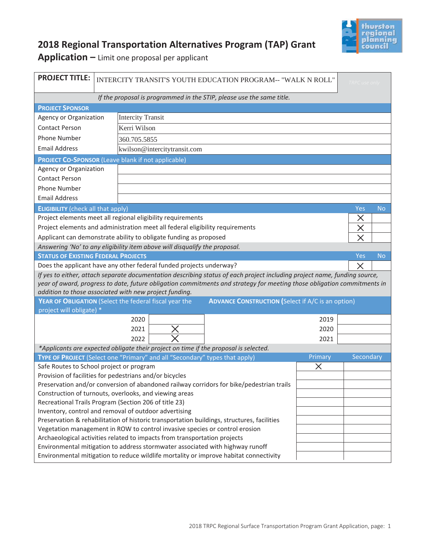

## **2018 Regional Transportation Alternatives Program (TAP) Grant**

**Application –** Limit one proposal per applicant

| <b>PROJECT TITLE:</b>                                                                                                                                                             |                                                               | INTERCITY TRANSIT'S YOUTH EDUCATION PROGRAM-- "WALK N ROLL"<br><b>TRPC</b> use only |      |  |          |                         |           |  |
|-----------------------------------------------------------------------------------------------------------------------------------------------------------------------------------|---------------------------------------------------------------|-------------------------------------------------------------------------------------|------|--|----------|-------------------------|-----------|--|
|                                                                                                                                                                                   |                                                               |                                                                                     |      |  |          |                         |           |  |
| If the proposal is programmed in the STIP, please use the same title.                                                                                                             |                                                               |                                                                                     |      |  |          |                         |           |  |
| <b>PROJECT SPONSOR</b><br>Agency or Organization<br><b>Intercity Transit</b>                                                                                                      |                                                               |                                                                                     |      |  |          |                         |           |  |
| <b>Contact Person</b>                                                                                                                                                             |                                                               | Kerri Wilson                                                                        |      |  |          |                         |           |  |
|                                                                                                                                                                                   |                                                               |                                                                                     |      |  |          |                         |           |  |
| Phone Number                                                                                                                                                                      |                                                               | 360.705.5855                                                                        |      |  |          |                         |           |  |
| <b>Email Address</b><br>kwilson@intercitytransit.com                                                                                                                              |                                                               |                                                                                     |      |  |          |                         |           |  |
| <b>PROJECT CO-SPONSOR (Leave blank if not applicable)</b>                                                                                                                         |                                                               |                                                                                     |      |  |          |                         |           |  |
| Agency or Organization                                                                                                                                                            |                                                               |                                                                                     |      |  |          |                         |           |  |
| <b>Contact Person</b>                                                                                                                                                             |                                                               |                                                                                     |      |  |          |                         |           |  |
| <b>Phone Number</b>                                                                                                                                                               |                                                               |                                                                                     |      |  |          |                         |           |  |
| <b>Email Address</b>                                                                                                                                                              |                                                               |                                                                                     |      |  |          |                         |           |  |
|                                                                                                                                                                                   | Yes<br><b>No</b><br><b>ELIGIBILITY</b> (check all that apply) |                                                                                     |      |  |          |                         |           |  |
| Project elements meet all regional eligibility requirements                                                                                                                       |                                                               |                                                                                     |      |  | X        |                         |           |  |
| Project elements and administration meet all federal eligibility requirements<br>Applicant can demonstrate ability to obligate funding as proposed                                |                                                               |                                                                                     |      |  | $\times$ |                         |           |  |
|                                                                                                                                                                                   |                                                               |                                                                                     |      |  |          | $\overline{\mathsf{X}}$ |           |  |
| Answering 'No' to any eligibility item above will disqualify the proposal.                                                                                                        |                                                               |                                                                                     |      |  |          |                         |           |  |
|                                                                                                                                                                                   | <b>STATUS OF EXISTING FEDERAL PROJECTS</b><br>Yes             |                                                                                     |      |  |          |                         | <b>No</b> |  |
| Does the applicant have any other federal funded projects underway?<br>$\times$                                                                                                   |                                                               |                                                                                     |      |  |          |                         |           |  |
| If yes to either, attach separate documentation describing status of each project including project name, funding source,                                                         |                                                               |                                                                                     |      |  |          |                         |           |  |
| year of award, progress to date, future obligation commitments and strategy for meeting those obligation commitments in<br>addition to those associated with new project funding. |                                                               |                                                                                     |      |  |          |                         |           |  |
| YEAR OF OBLIGATION (Select the federal fiscal year the<br><b>ADVANCE CONSTRUCTION (Select if A/C is an option)</b>                                                                |                                                               |                                                                                     |      |  |          |                         |           |  |
| project will obligate) *                                                                                                                                                          |                                                               |                                                                                     |      |  |          |                         |           |  |
| 2020<br>2019                                                                                                                                                                      |                                                               |                                                                                     |      |  |          |                         |           |  |
| 2021                                                                                                                                                                              |                                                               |                                                                                     | 2020 |  |          |                         |           |  |
| 2022<br>2021                                                                                                                                                                      |                                                               |                                                                                     |      |  |          |                         |           |  |
| *Applicants are expected obligate their project on time if the proposal is selected.                                                                                              |                                                               |                                                                                     |      |  |          |                         |           |  |
| TYPE OF PROJECT (Select one "Primary" and all "Secondary" types that apply)                                                                                                       |                                                               |                                                                                     |      |  | Primary  | Secondary               |           |  |
| Safe Routes to School project or program<br>X                                                                                                                                     |                                                               |                                                                                     |      |  |          |                         |           |  |
| Provision of facilities for pedestrians and/or bicycles                                                                                                                           |                                                               |                                                                                     |      |  |          |                         |           |  |
| Preservation and/or conversion of abandoned railway corridors for bike/pedestrian trails                                                                                          |                                                               |                                                                                     |      |  |          |                         |           |  |
| Construction of turnouts, overlooks, and viewing areas                                                                                                                            |                                                               |                                                                                     |      |  |          |                         |           |  |
| Recreational Trails Program (Section 206 of title 23)                                                                                                                             |                                                               |                                                                                     |      |  |          |                         |           |  |
| Inventory, control and removal of outdoor advertising<br>Preservation & rehabilitation of historic transportation buildings, structures, facilities                               |                                                               |                                                                                     |      |  |          |                         |           |  |
| Vegetation management in ROW to control invasive species or control erosion                                                                                                       |                                                               |                                                                                     |      |  |          |                         |           |  |
| Archaeological activities related to impacts from transportation projects                                                                                                         |                                                               |                                                                                     |      |  |          |                         |           |  |
| Environmental mitigation to address stormwater associated with highway runoff                                                                                                     |                                                               |                                                                                     |      |  |          |                         |           |  |
| Environmental mitigation to reduce wildlife mortality or improve habitat connectivity                                                                                             |                                                               |                                                                                     |      |  |          |                         |           |  |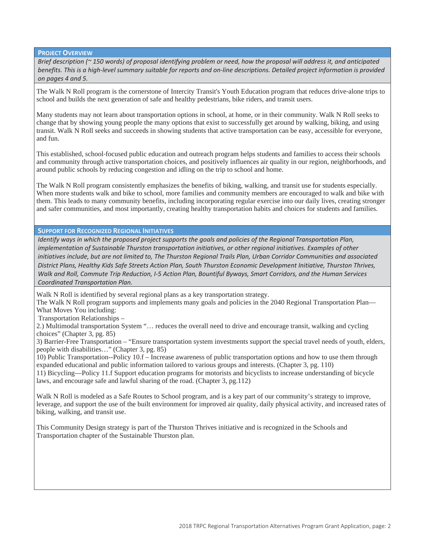**PROJECT OVERVIEW**

*Brief description (~ 150 words) of proposal identifying problem or need, how the proposal will address it, and anticipated benefits. This is a high-level summary suitable for reports and on-line descriptions. Detailed project information is provided on pages 4 and 5.*

The Walk N Roll program is the cornerstone of Intercity Transit's Youth Education program that reduces drive-alone trips to school and builds the next generation of safe and healthy pedestrians, bike riders, and transit users.

Many students may not learn about transportation options in school, at home, or in their community. Walk N Roll seeks to change that by showing young people the many options that exist to successfully get around by walking, biking, and using transit. Walk N Roll seeks and succeeds in showing students that active transportation can be easy, accessible for everyone, and fun.

This established, school-focused public education and outreach program helps students and families to access their schools and community through active transportation choices, and positively influences air quality in our region, neighborhoods, and around public schools by reducing congestion and idling on the trip to school and home.

The Walk N Roll program consistently emphasizes the benefits of biking, walking, and transit use for students especially. When more students walk and bike to school, more families and community members are encouraged to walk and bike with them. This leads to many community benefits, including incorporating regular exercise into our daily lives, creating stronger and safer communities, and most importantly, creating healthy transportation habits and choices for students and families.

**SUPPORT FOR RECOGNIZED REGIONAL INITIATIVES**

*Identify ways in which the proposed project supports the goals and policies of the Regional Transportation Plan, implementation of Sustainable Thurston transportation initiatives, or other regional initiatives. Examples of other initiatives include, but are not limited to, The Thurston Regional Trails Plan, Urban Corridor Communities and associated District Plans, Healthy Kids Safe Streets Action Plan, South Thurston Economic Development Initiative, Thurston Thrives, Walk and Roll, Commute Trip Reduction, I-5 Action Plan, Bountiful Byways, Smart Corridors, and the Human Services Coordinated Transportation Plan.* 

Walk N Roll is identified by several regional plans as a key transportation strategy.

The Walk N Roll program supports and implements many goals and policies in the 2040 Regional Transportation Plan— What Moves You including:

Transportation Relationships –

2.) Multimodal transportation System "… reduces the overall need to drive and encourage transit, walking and cycling choices" (Chapter 3, pg. 85)

3) Barrier-Free Transportation – "Ensure transportation system investments support the special travel needs of youth, elders, people with disabilities…" (Chapter 3, pg. 85)

10) Public Transportation--Policy 10.f – Increase awareness of public transportation options and how to use them through expanded educational and public information tailored to various groups and interests. (Chapter 3, pg. 110) 11) Bicycling—Policy 11.f Support education programs for motorists and bicyclists to increase understanding of bicycle laws, and encourage safe and lawful sharing of the road. (Chapter 3, pg.112)

Walk N Roll is modeled as a Safe Routes to School program, and is a key part of our community's strategy to improve, leverage, and support the use of the built environment for improved air quality, daily physical activity, and increased rates of biking, walking, and transit use.

This Community Design strategy is part of the Thurston Thrives initiative and is recognized in the Schools and Transportation chapter of the Sustainable Thurston plan.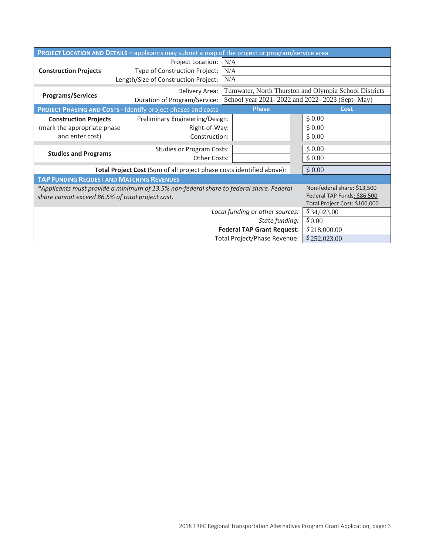| <b>PROJECT LOCATION AND DETAILS - applicants may submit a map of the project or program/service area</b>               |                                                                       |                                                       |                               |  |  |
|------------------------------------------------------------------------------------------------------------------------|-----------------------------------------------------------------------|-------------------------------------------------------|-------------------------------|--|--|
|                                                                                                                        | <b>Project Location:</b>                                              | N/A                                                   |                               |  |  |
| <b>Construction Projects</b>                                                                                           | Type of Construction Project:<br>Length/Size of Construction Project: | N/A<br>N/A                                            |                               |  |  |
|                                                                                                                        | Delivery Area:                                                        | Tumwater, North Thurston and Olympia School Districts |                               |  |  |
| <b>Programs/Services</b>                                                                                               | Duration of Program/Service:                                          | School year 2021-2022 and 2022-2023 (Sept-May)        |                               |  |  |
| <b>Phase</b><br><b>PROJECT PHASING AND COSTS - Identify project phases and costs</b><br><b>Cost</b>                    |                                                                       |                                                       |                               |  |  |
| <b>Construction Projects</b>                                                                                           | Preliminary Engineering/Design:<br>Right-of-Way:<br>Construction:     |                                                       | \$0.00                        |  |  |
| (mark the appropriate phase                                                                                            |                                                                       |                                                       | \$0.00                        |  |  |
| and enter cost)                                                                                                        |                                                                       |                                                       | \$0.00                        |  |  |
|                                                                                                                        | <b>Studies or Program Costs:</b>                                      | \$0.00                                                |                               |  |  |
| <b>Studies and Programs</b>                                                                                            | <b>Other Costs:</b>                                                   |                                                       | \$0.00                        |  |  |
| \$0.00<br>Total Project Cost (Sum of all project phase costs identified above):                                        |                                                                       |                                                       |                               |  |  |
| <b>TAP FUNDING REQUEST AND MATCHING REVENUES</b>                                                                       |                                                                       |                                                       |                               |  |  |
| Non-federal share: \$13,500<br>*Applicants must provide a minimum of 13.5% non-federal share to federal share. Federal |                                                                       |                                                       |                               |  |  |
| share cannot exceed 86.5% of total project cost.                                                                       | Federal TAP Funds: \$86,500                                           |                                                       |                               |  |  |
|                                                                                                                        |                                                                       | Local funding or other sources:                       | Total Project Cost: \$100,000 |  |  |
|                                                                                                                        | \$34,023.00                                                           |                                                       |                               |  |  |
| \$0.00<br>State funding:                                                                                               |                                                                       |                                                       |                               |  |  |
| <b>Federal TAP Grant Request:</b><br>\$218,000.00<br>Total Project/Phase Revenue:                                      |                                                                       |                                                       |                               |  |  |
|                                                                                                                        | \$252,023.00                                                          |                                                       |                               |  |  |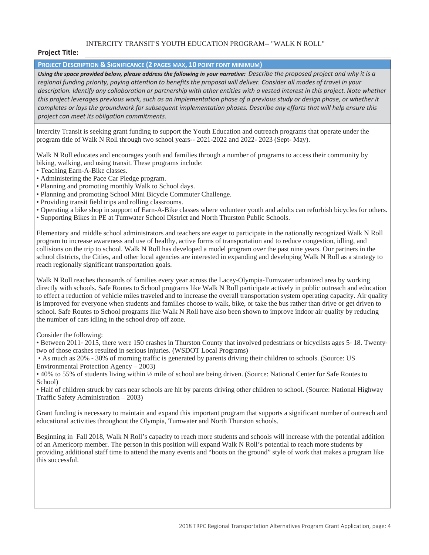## INTERCITY TRANSIT'S YOUTH EDUCATION PROGRAM-- "WALK N ROLL"

## **Project Title:**

## **PROJECT DESCRIPTION & SIGNIFICANCE (2 PAGES MAX, 10 POINT FONT MINIMUM)**

*Using the space provided below, please address the following in your narrative: Describe the proposed project and why it is a regional funding priority, paying attention to benefits the proposal will deliver. Consider all modes of travel in your description. Identify any collaboration or partnership with other entities with a vested interest in this project. Note whether this project leverages previous work, such as an implementation phase of a previous study or design phase, or whether it completes or lays the groundwork for subsequent implementation phases. Describe any efforts that will help ensure this project can meet its obligation commitments.*

Intercity Transit is seeking grant funding to support the Youth Education and outreach programs that operate under the program title of Walk N Roll through two school years-- 2021-2022 and 2022- 2023 (Sept- May).

Walk N Roll educates and encourages youth and families through a number of programs to access their community by biking, walking, and using transit. These programs include:

- Teaching Earn-A-Bike classes.
- Administering the Pace Car Pledge program.
- Planning and promoting monthly Walk to School days.
- Planning and promoting School Mini Bicycle Commuter Challenge.
- Providing transit field trips and rolling classrooms.
- Operating a bike shop in support of Earn-A-Bike classes where volunteer youth and adults can refurbish bicycles for others.
- Supporting Bikes in PE at Tumwater School District and North Thurston Public Schools.

Elementary and middle school administrators and teachers are eager to participate in the nationally recognized Walk N Roll program to increase awareness and use of healthy, active forms of transportation and to reduce congestion, idling, and collisions on the trip to school. Walk N Roll has developed a model program over the past nine years. Our partners in the school districts, the Cities, and other local agencies are interested in expanding and developing Walk N Roll as a strategy to reach regionally significant transportation goals.

Walk N Roll reaches thousands of families every year across the Lacey-Olympia-Tumwater urbanized area by working directly with schools. Safe Routes to School programs like Walk N Roll participate actively in public outreach and education to effect a reduction of vehicle miles traveled and to increase the overall transportation system operating capacity. Air quality is improved for everyone when students and families choose to walk, bike, or take the bus rather than drive or get driven to school. Safe Routes to School programs like Walk N Roll have also been shown to improve indoor air quality by reducing the number of cars idling in the school drop off zone.

Consider the following:

• Between 2011-2015, there were 150 crashes in Thurston County that involved pedestrians or bicyclists ages 5-18. Twentytwo of those crashes resulted in serious injuries. (WSDOT Local Programs)

• As much as 20% – 30% of morning traffic is generated by parents driving their children to schools. (Source: US Environmental Protection Agency – 2003)

• 40% to 55% of students living within ½ mile of school are being driven. (Source: National Center for Safe Routes to School)

• Half of children struck by cars near schools are hit by parents driving other children to school. (Source: National Highway Traffic Safety Administration – 2003)

Grant funding is necessary to maintain and expand this important program that supports a significant number of outreach and educational activities throughout the Olympia, Tumwater and North Thurston schools.

Beginning in Fall 2018, Walk N Roll's capacity to reach more students and schools will increase with the potential addition of an Americorp member. The person in this position will expand Walk N Roll's potential to reach more students by providing additional staff time to attend the many events and "boots on the ground" style of work that makes a program like this successful.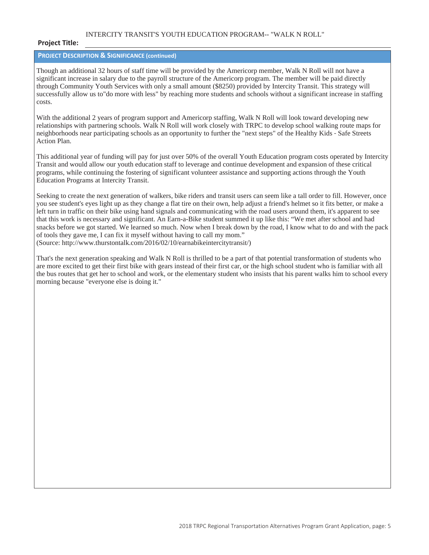## INTERCITY TRANSIT'S YOUTH EDUCATION PROGRAM-- "WALK N ROLL"

### **Project Title:**

## **PROJECT DESCRIPTION & SIGNIFICANCE (continued)**

Though an additional 32 hours of staff time will be provided by the Americorp member, Walk N Roll will not have a significant increase in salary due to the payroll structure of the Americorp program. The member will be paid directly through Community Youth Services with only a small amount (\$8250) provided by Intercity Transit. This strategy will successfully allow us to"do more with less" by reaching more students and schools without a significant increase in staffing costs.

With the additional 2 years of program support and Americorp staffing, Walk N Roll will look toward developing new relationships with partnering schools. Walk N Roll will work closely with TRPC to develop school walking route maps for neighborhoods near participating schools as an opportunity to further the "next steps" of the Healthy Kids - Safe Streets Action Plan.

This additional year of funding will pay for just over 50% of the overall Youth Education program costs operated by Intercity Transit and would allow our youth education staff to leverage and continue development and expansion of these critical programs, while continuing the fostering of significant volunteer assistance and supporting actions through the Youth Education Programs at Intercity Transit.

Seeking to create the next generation of walkers, bike riders and transit users can seem like a tall order to fill. However, once you see student's eyes light up as they change a flat tire on their own, help adjust a friend's helmet so it fits better, or make a left turn in traffic on their bike using hand signals and communicating with the road users around them, it's apparent to see that this work is necessary and significant. An Earn-a-Bike student summed it up like this: "We met after school and had snacks before we got started. We learned so much. Now when I break down by the road, I know what to do and with the pack of tools they gave me, I can fix it myself without having to call my mom." (Source: http://www.thurstontalk.com/2016/02/10/earnabikeintercitytransit/)

That's the next generation speaking and Walk N Roll is thrilled to be a part of that potential transformation of students who are more excited to get their first bike with gears instead of their first car, or the high school student who is familiar with all the bus routes that get her to school and work, or the elementary student who insists that his parent walks him to school every morning because "everyone else is doing it."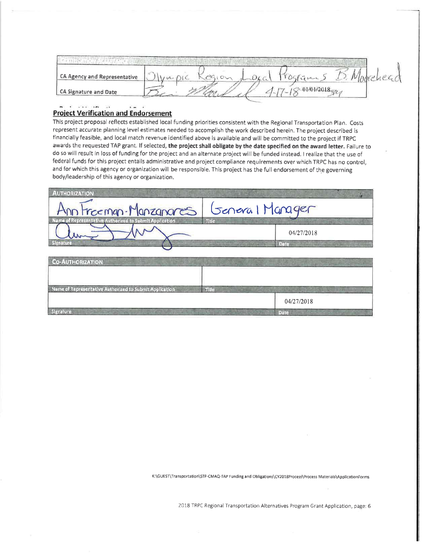| <b>CA Agency and Representative</b> |  | <b>DAL-A</b> |  |
|-------------------------------------|--|--------------|--|
| CA Signature and Date               |  | 01/01/2018   |  |

#### where the control of the  $\cdot$   $-$ **Project Verification and Endorsement**

: 20

This project proposal reflects established local funding priorities consistent with the Regional Transportation Plan. Costs represent accurate planning level estimates needed to accomplish the work described herein. The project described is financially feasible, and local match revenue identified above is available and will be committed to the project if TRPC awards the requested TAP grant. If selected, the project shall obligate by the date specified on the award letter. Failure to do so will result in loss of funding for the project and an alternate project will be funded instead. I realize that the use of federal funds for this project entails administrative and project compliance requirements over which TRPC has no control, and for which this agency or organization will be responsible. This project has the full endorsement of the governing body/leadership of this agency or organization.

| <b>AUTHORIZATION</b>                                    |                                                                                                             |
|---------------------------------------------------------|-------------------------------------------------------------------------------------------------------------|
| Ann Frommen. Manzanores                                 | General Manager                                                                                             |
| Name of Representative Authorized to Submit Application | <b>Title</b><br>04/27/2018<br><b>EN STRUCTURE OF STRUCT</b><br>Date<br><b>Could be a basic and the fire</b> |
| <b>Co-AUTHORIZATION</b>                                 | ATLANTA CHARLEY                                                                                             |
| Name of Representative Authorized to Submit Application | Title<br><b>NECKEL</b>                                                                                      |
| Signature<br><b>CONTRACTOR</b>                          | 04/27/2018<br>Date -                                                                                        |

K:\GUEST\Transportation\STP-CMAQ-TAP Funding and Obligations\CY2018Process\Process Materials\ApplicationForms

2018 TRPC Regional Transportation Alternatives Program Grant Application, page: 6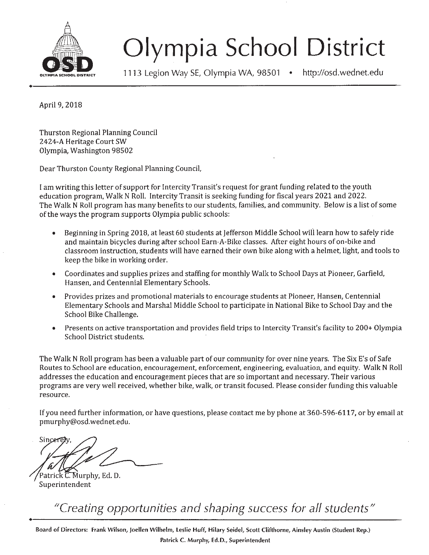

# **Olympia School District**

1113 Legion Way SE,Olympia WA, 98501 • http://osd.wednet.edu

+-------------------------------------------

April 9, 2018

Thurston Regional Planning Council *2424-A* Heritage Court SW Olympia, Washington 98502

Dear Thurston County Regional Planning Council,

I am writing this letter of support for Intercity Transit's request for grant funding related to the youth education program, Walk N Roll. Intercity Transit is seeking funding for fiscal years 2021 and 2022. The Walk N Roll program has many benefits to our students, families, and community. Below is a list of some of the ways the program supports Olympia public schools:

- Beginning in Spring 2018, at least 60 students at Jefferson Middle School will learn how to safely ride and maintain bicycles during after school Earn-A-Bike classes. After eight hours of on-bike and classroom instruction, students will have earned their own bike along with a helmet, light, and tools to keep the bike in working order.
- Coordinates and supplies prizes and staffing for monthly Walk to School Days at Pioneer, Garfield, Hansen, and Centennial Elementary Schools.
- Provides prizes and promotional materials to encourage students at Pioneer, Hansen, Centennial Elementary Schools and Marshal Middle School to participate in National Bike to School Day and the School Bike Challenge.
- Presents on active transportation and provides field trips to Intercity Transit's facility to 200+ Olympia School District students.

The Walk N Roll program has been a valuable part of our community for over nine years. The Six E's of Safe Routes to School are education, encouragement, enforcement, engineering, evaluation, and equity. Walk N Roll addresses the education and encouragement pieces that are so important and necessary. Their various programs are very well received, whether bike, walk, or transit focused. Please consider funding this valuable resource.

Ifyou need further information, or have questions, please contact me by phone at 360-596-6117, or by email at pmurphy@osd.wednet.edu.

Sincere

Patrick C. Murphy, Ed. D. Superintendent

*IICreating opportunities and shaping success for all students II* ...

**Board of Directors: FrankWilson, Joellen Wilhelm, Leslie Huff, Hilary Seidel, Scott Clifthorne, Ainsley Austin (Student Rep.) Patrick C. Murphy, Ed.D., Superintendent**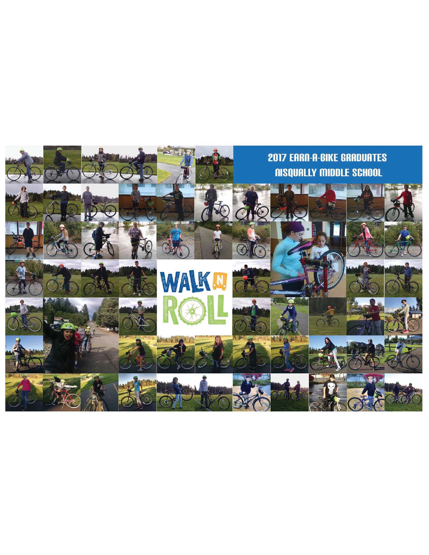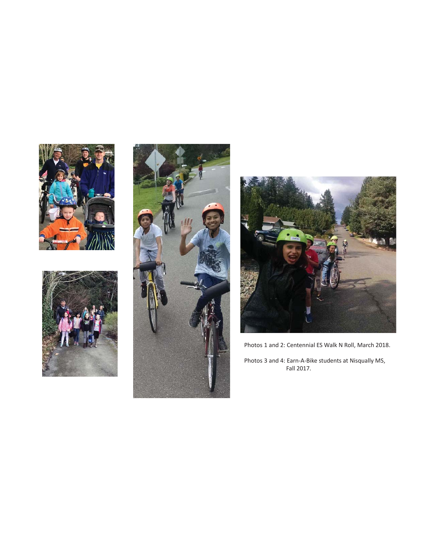







Photos 1 and 2: Centennial ES Walk N Roll, March 2018.

Photos 3 and 4: Earn-A-Bike students at Nisqually MS,<br>Fall 2017.